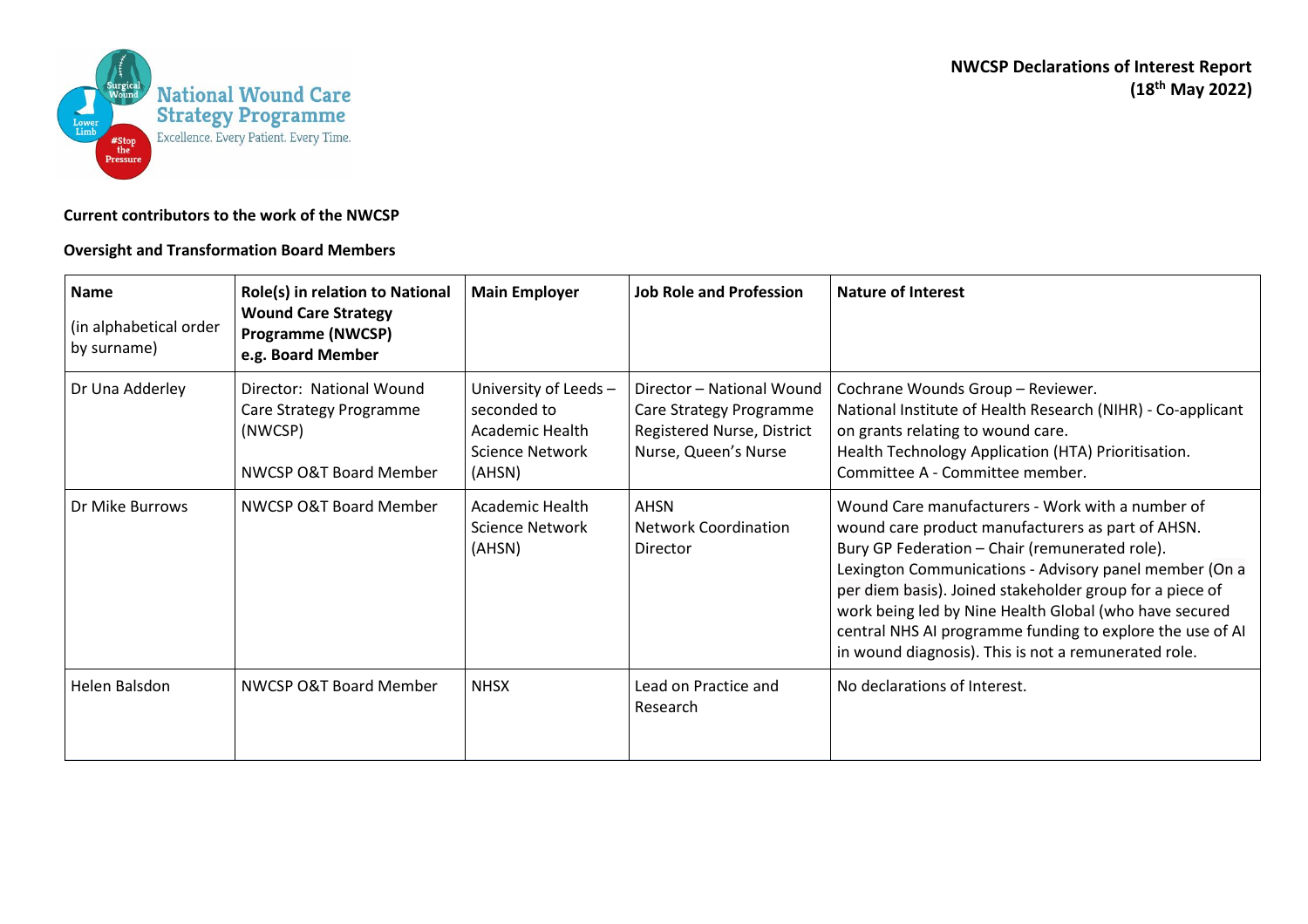

## **Current contributors to the work of the NWCSP**

## **Oversight and Transformation Board Members**

| <b>Name</b><br>(in alphabetical order<br>by surname) | Role(s) in relation to National<br><b>Wound Care Strategy</b><br><b>Programme (NWCSP)</b><br>e.g. Board Member | <b>Main Employer</b>                                                                       | <b>Job Role and Profession</b>                                                                             | <b>Nature of Interest</b>                                                                                                                                                                                                                                                                                                                                                                                                                                    |
|------------------------------------------------------|----------------------------------------------------------------------------------------------------------------|--------------------------------------------------------------------------------------------|------------------------------------------------------------------------------------------------------------|--------------------------------------------------------------------------------------------------------------------------------------------------------------------------------------------------------------------------------------------------------------------------------------------------------------------------------------------------------------------------------------------------------------------------------------------------------------|
| Dr Una Adderley                                      | Director: National Wound<br>Care Strategy Programme<br>(NWCSP)<br>NWCSP O&T Board Member                       | University of Leeds-<br>seconded to<br>Academic Health<br><b>Science Network</b><br>(AHSN) | Director - National Wound<br>Care Strategy Programme<br>Registered Nurse, District<br>Nurse, Queen's Nurse | Cochrane Wounds Group - Reviewer.<br>National Institute of Health Research (NIHR) - Co-applicant<br>on grants relating to wound care.<br>Health Technology Application (HTA) Prioritisation.<br>Committee A - Committee member.                                                                                                                                                                                                                              |
| Dr Mike Burrows                                      | NWCSP O&T Board Member                                                                                         | Academic Health<br>Science Network<br>(AHSN)                                               | <b>AHSN</b><br><b>Network Coordination</b><br>Director                                                     | Wound Care manufacturers - Work with a number of<br>wound care product manufacturers as part of AHSN.<br>Bury GP Federation - Chair (remunerated role).<br>Lexington Communications - Advisory panel member (On a<br>per diem basis). Joined stakeholder group for a piece of<br>work being led by Nine Health Global (who have secured<br>central NHS AI programme funding to explore the use of AI<br>in wound diagnosis). This is not a remunerated role. |
| Helen Balsdon                                        | NWCSP O&T Board Member                                                                                         | <b>NHSX</b>                                                                                | Lead on Practice and<br>Research                                                                           | No declarations of Interest.                                                                                                                                                                                                                                                                                                                                                                                                                                 |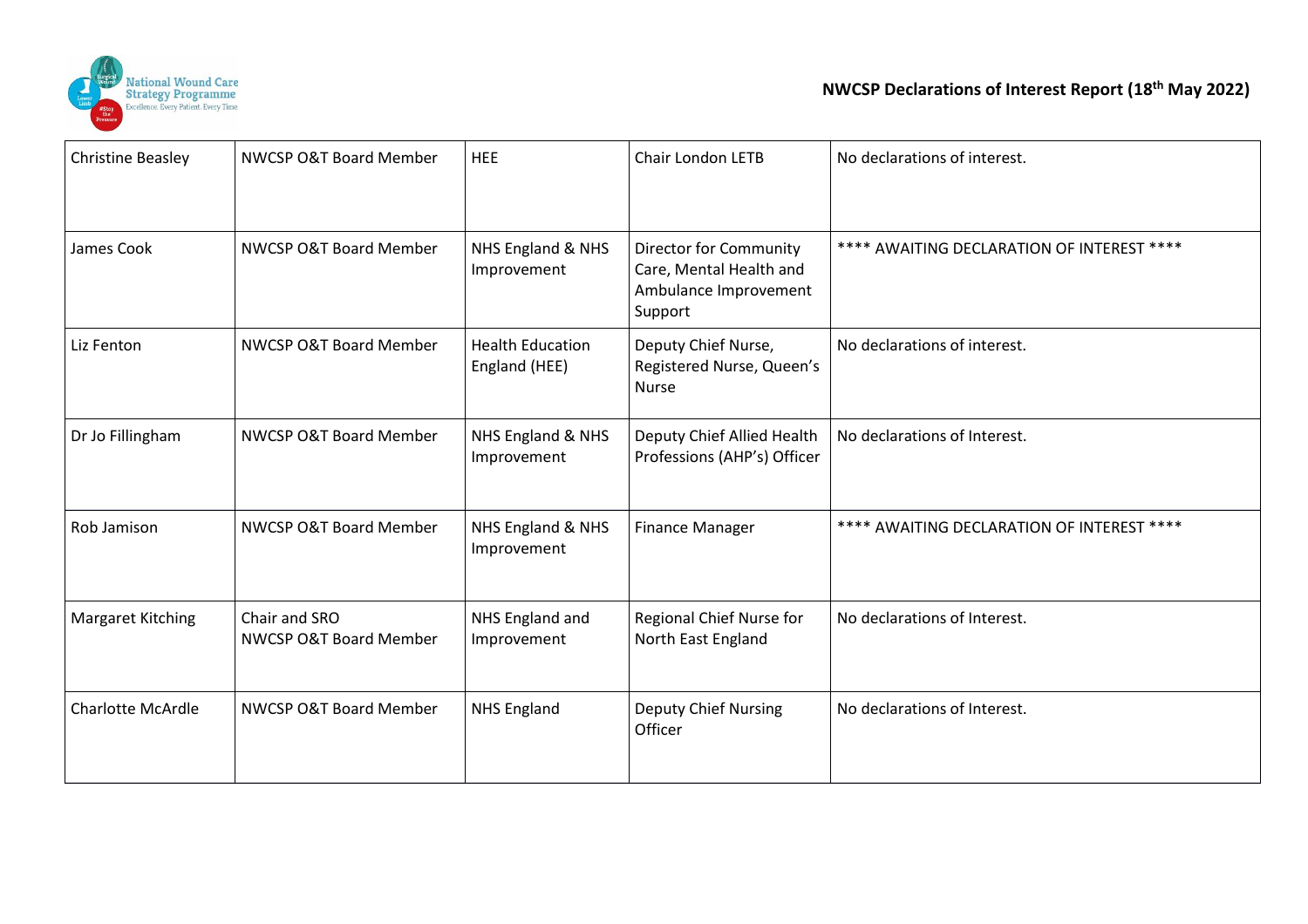

| <b>Christine Beasley</b> | NWCSP O&T Board Member                  | <b>HEE</b>                               | Chair London LETB                                                                            | No declarations of interest.               |
|--------------------------|-----------------------------------------|------------------------------------------|----------------------------------------------------------------------------------------------|--------------------------------------------|
|                          |                                         |                                          |                                                                                              |                                            |
| James Cook               | NWCSP O&T Board Member                  | NHS England & NHS<br>Improvement         | <b>Director for Community</b><br>Care, Mental Health and<br>Ambulance Improvement<br>Support | **** AWAITING DECLARATION OF INTEREST **** |
| Liz Fenton               | NWCSP O&T Board Member                  | <b>Health Education</b><br>England (HEE) | Deputy Chief Nurse,<br>Registered Nurse, Queen's<br><b>Nurse</b>                             | No declarations of interest.               |
| Dr Jo Fillingham         | NWCSP O&T Board Member                  | NHS England & NHS<br>Improvement         | Deputy Chief Allied Health<br>Professions (AHP's) Officer                                    | No declarations of Interest.               |
| Rob Jamison              | NWCSP O&T Board Member                  | NHS England & NHS<br>Improvement         | <b>Finance Manager</b>                                                                       | **** AWAITING DECLARATION OF INTEREST **** |
| <b>Margaret Kitching</b> | Chair and SRO<br>NWCSP O&T Board Member | NHS England and<br>Improvement           | Regional Chief Nurse for<br>North East England                                               | No declarations of Interest.               |
| <b>Charlotte McArdle</b> | NWCSP O&T Board Member                  | <b>NHS England</b>                       | <b>Deputy Chief Nursing</b><br>Officer                                                       | No declarations of Interest.               |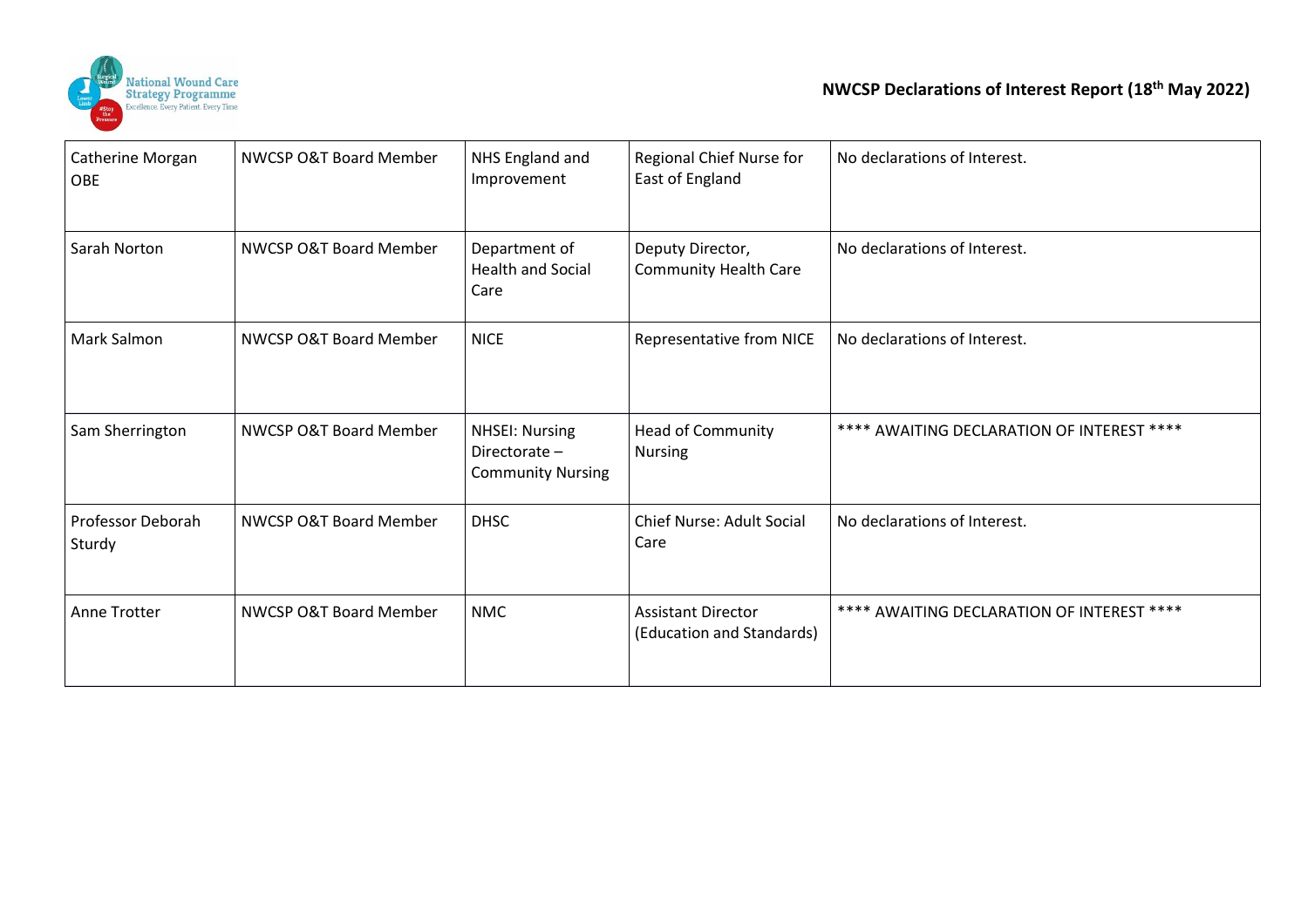

| Catherine Morgan<br><b>OBE</b> | NWCSP O&T Board Member | NHS England and<br>Improvement                                    | Regional Chief Nurse for<br>East of England            | No declarations of Interest.               |
|--------------------------------|------------------------|-------------------------------------------------------------------|--------------------------------------------------------|--------------------------------------------|
| Sarah Norton                   | NWCSP O&T Board Member | Department of<br><b>Health and Social</b><br>Care                 | Deputy Director,<br><b>Community Health Care</b>       | No declarations of Interest.               |
| <b>Mark Salmon</b>             | NWCSP O&T Board Member | <b>NICE</b>                                                       | Representative from NICE                               | No declarations of Interest.               |
| Sam Sherrington                | NWCSP O&T Board Member | <b>NHSEI: Nursing</b><br>Directorate-<br><b>Community Nursing</b> | <b>Head of Community</b><br><b>Nursing</b>             | **** AWAITING DECLARATION OF INTEREST **** |
| Professor Deborah<br>Sturdy    | NWCSP O&T Board Member | <b>DHSC</b>                                                       | Chief Nurse: Adult Social<br>Care                      | No declarations of Interest.               |
| Anne Trotter                   | NWCSP O&T Board Member | <b>NMC</b>                                                        | <b>Assistant Director</b><br>(Education and Standards) | **** AWAITING DECLARATION OF INTEREST **** |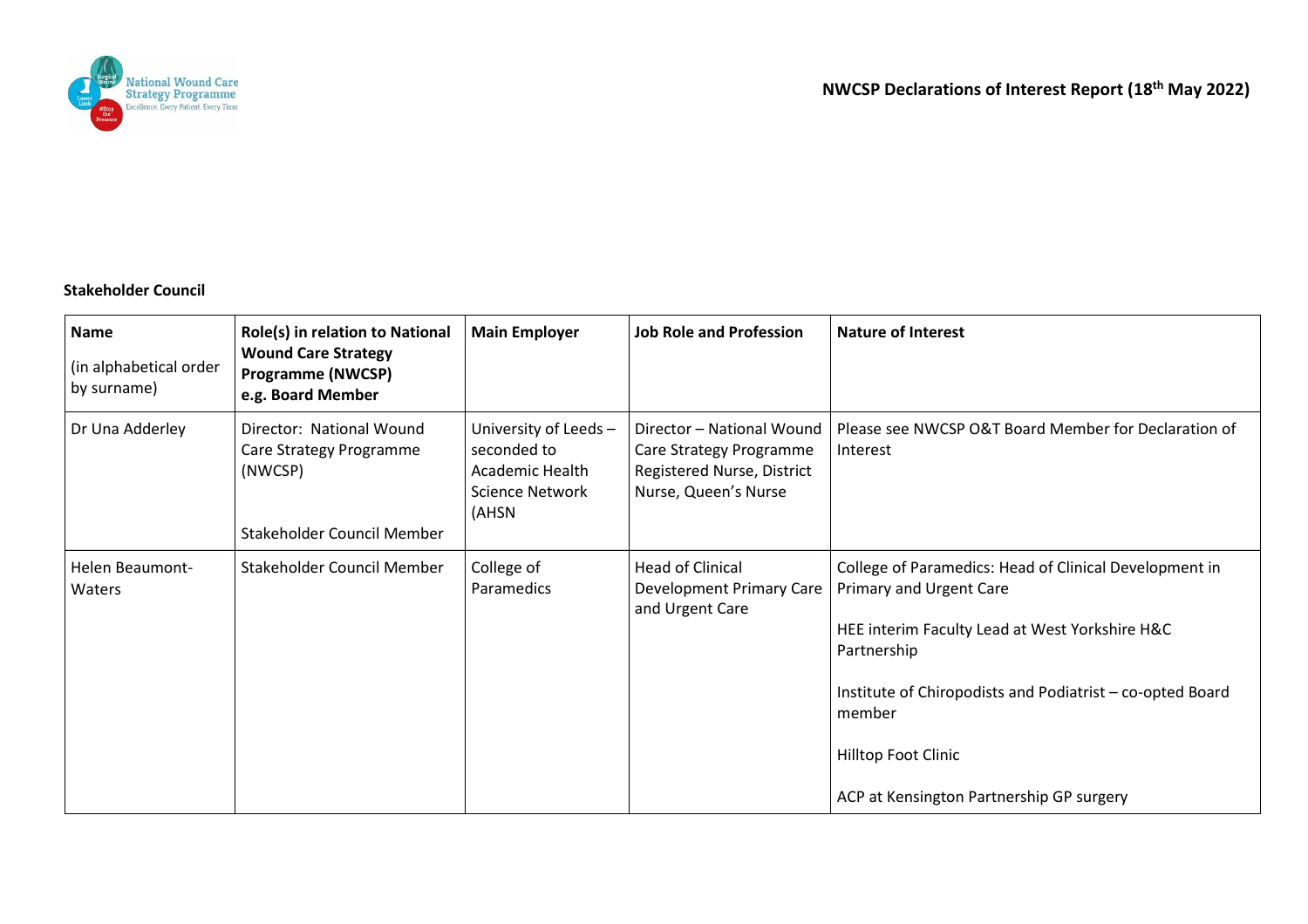

## **Stakeholder Council**

| <b>Name</b><br>(in alphabetical order<br>by surname) | Role(s) in relation to National<br><b>Wound Care Strategy</b><br><b>Programme (NWCSP)</b><br>e.g. Board Member | <b>Main Employer</b>                                                                | <b>Job Role and Profession</b>                                                                             | <b>Nature of Interest</b>                                                                                                                                                                                                                                                                           |
|------------------------------------------------------|----------------------------------------------------------------------------------------------------------------|-------------------------------------------------------------------------------------|------------------------------------------------------------------------------------------------------------|-----------------------------------------------------------------------------------------------------------------------------------------------------------------------------------------------------------------------------------------------------------------------------------------------------|
| Dr Una Adderley                                      | Director: National Wound<br>Care Strategy Programme<br>(NWCSP)<br>Stakeholder Council Member                   | University of Leeds -<br>seconded to<br>Academic Health<br>Science Network<br>(AHSN | Director - National Wound<br>Care Strategy Programme<br>Registered Nurse, District<br>Nurse, Queen's Nurse | Please see NWCSP O&T Board Member for Declaration of<br>Interest                                                                                                                                                                                                                                    |
| Helen Beaumont-<br>Waters                            | Stakeholder Council Member                                                                                     | College of<br>Paramedics                                                            | <b>Head of Clinical</b><br>Development Primary Care<br>and Urgent Care                                     | College of Paramedics: Head of Clinical Development in<br><b>Primary and Urgent Care</b><br>HEE interim Faculty Lead at West Yorkshire H&C<br>Partnership<br>Institute of Chiropodists and Podiatrist - co-opted Board<br>member<br>Hilltop Foot Clinic<br>ACP at Kensington Partnership GP surgery |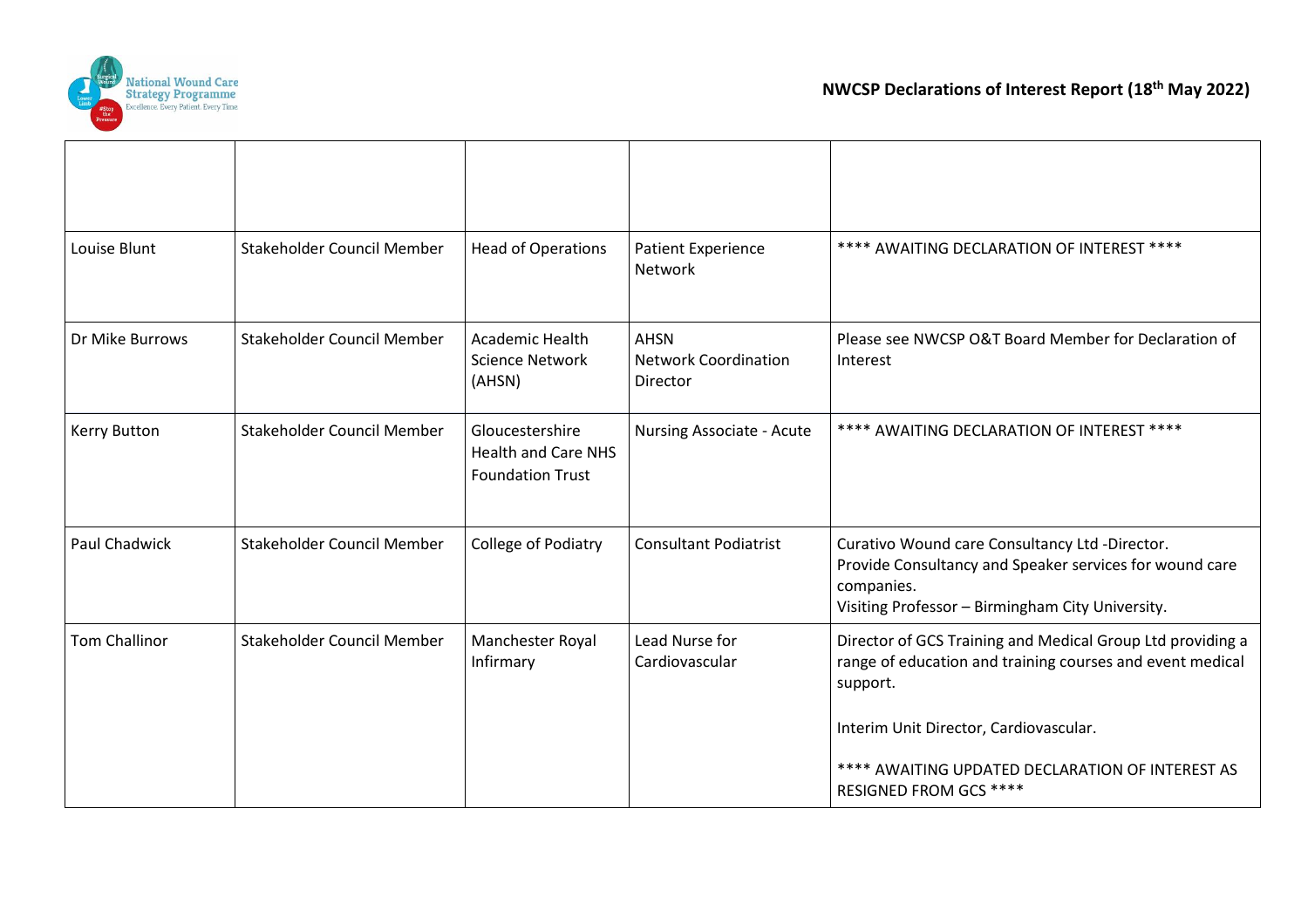

 $\top$ 

Τ

**T** 

┯

| Louise Blunt         | Stakeholder Council Member | <b>Head of Operations</b>                                                | <b>Patient Experience</b><br>Network                   | **** AWAITING DECLARATION OF INTEREST ****                                                                                                                                  |
|----------------------|----------------------------|--------------------------------------------------------------------------|--------------------------------------------------------|-----------------------------------------------------------------------------------------------------------------------------------------------------------------------------|
| Dr Mike Burrows      | Stakeholder Council Member | Academic Health<br>Science Network<br>(AHSN)                             | <b>AHSN</b><br><b>Network Coordination</b><br>Director | Please see NWCSP O&T Board Member for Declaration of<br>Interest                                                                                                            |
| <b>Kerry Button</b>  | Stakeholder Council Member | Gloucestershire<br><b>Health and Care NHS</b><br><b>Foundation Trust</b> | Nursing Associate - Acute                              | **** AWAITING DECLARATION OF INTEREST ****                                                                                                                                  |
| Paul Chadwick        | Stakeholder Council Member | College of Podiatry                                                      | <b>Consultant Podiatrist</b>                           | Curativo Wound care Consultancy Ltd -Director.<br>Provide Consultancy and Speaker services for wound care<br>companies.<br>Visiting Professor - Birmingham City University. |
| <b>Tom Challinor</b> | Stakeholder Council Member | Manchester Royal<br>Infirmary                                            | Lead Nurse for<br>Cardiovascular                       | Director of GCS Training and Medical Group Ltd providing a<br>range of education and training courses and event medical<br>support.                                         |
|                      |                            |                                                                          |                                                        | Interim Unit Director, Cardiovascular.<br>**** AWAITING UPDATED DECLARATION OF INTEREST AS<br><b>RESIGNED FROM GCS ****</b>                                                 |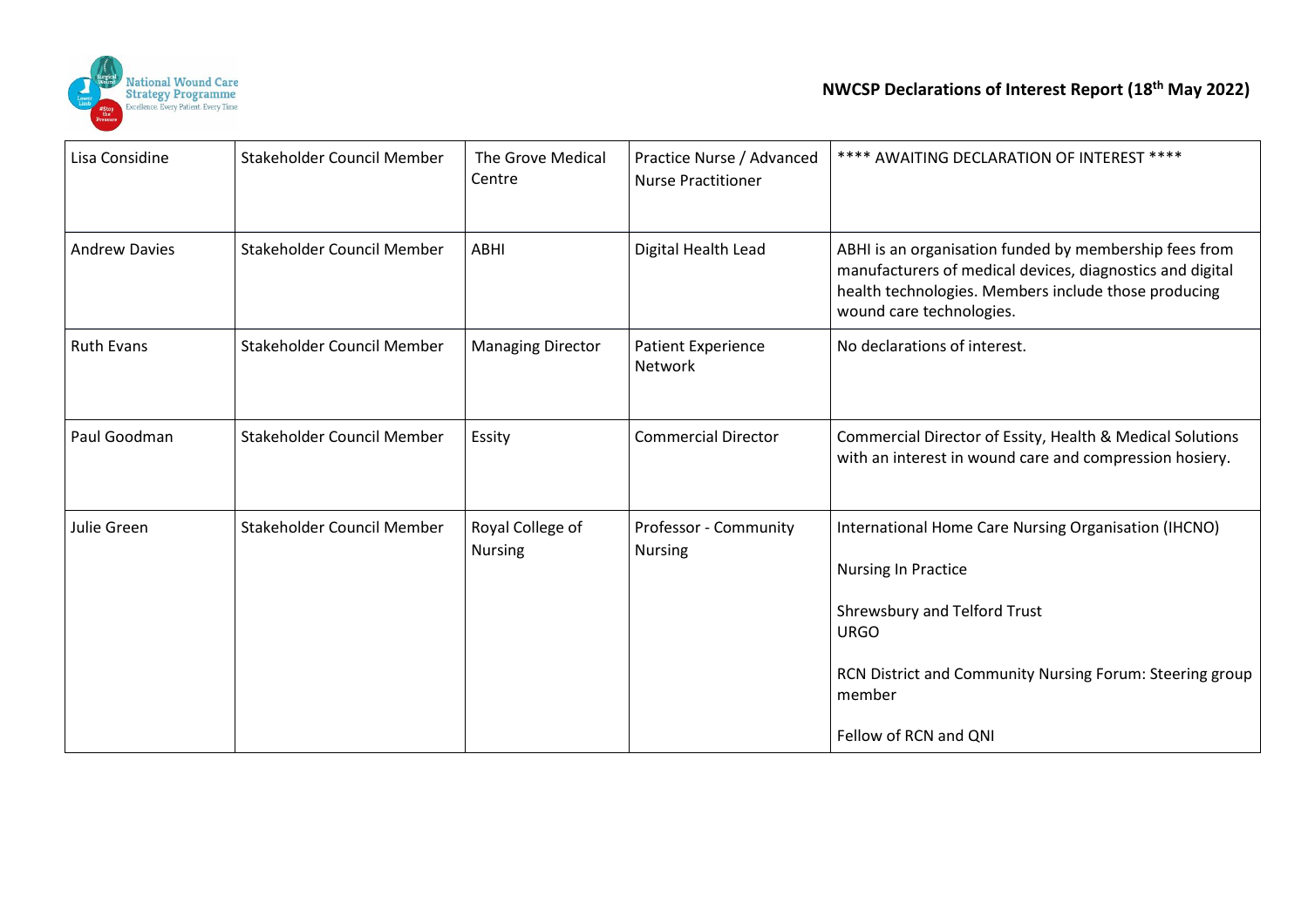

| Lisa Considine       | Stakeholder Council Member | The Grove Medical<br>Centre        | Practice Nurse / Advanced<br><b>Nurse Practitioner</b> | **** AWAITING DECLARATION OF INTEREST ****                                                                                                                                                                                       |
|----------------------|----------------------------|------------------------------------|--------------------------------------------------------|----------------------------------------------------------------------------------------------------------------------------------------------------------------------------------------------------------------------------------|
| <b>Andrew Davies</b> | Stakeholder Council Member | ABHI                               | Digital Health Lead                                    | ABHI is an organisation funded by membership fees from<br>manufacturers of medical devices, diagnostics and digital<br>health technologies. Members include those producing<br>wound care technologies.                          |
| <b>Ruth Evans</b>    | Stakeholder Council Member | <b>Managing Director</b>           | Patient Experience<br>Network                          | No declarations of interest.                                                                                                                                                                                                     |
| Paul Goodman         | Stakeholder Council Member | Essity                             | <b>Commercial Director</b>                             | Commercial Director of Essity, Health & Medical Solutions<br>with an interest in wound care and compression hosiery.                                                                                                             |
| Julie Green          | Stakeholder Council Member | Royal College of<br><b>Nursing</b> | Professor - Community<br><b>Nursing</b>                | International Home Care Nursing Organisation (IHCNO)<br><b>Nursing In Practice</b><br>Shrewsbury and Telford Trust<br><b>URGO</b><br>RCN District and Community Nursing Forum: Steering group<br>member<br>Fellow of RCN and QNI |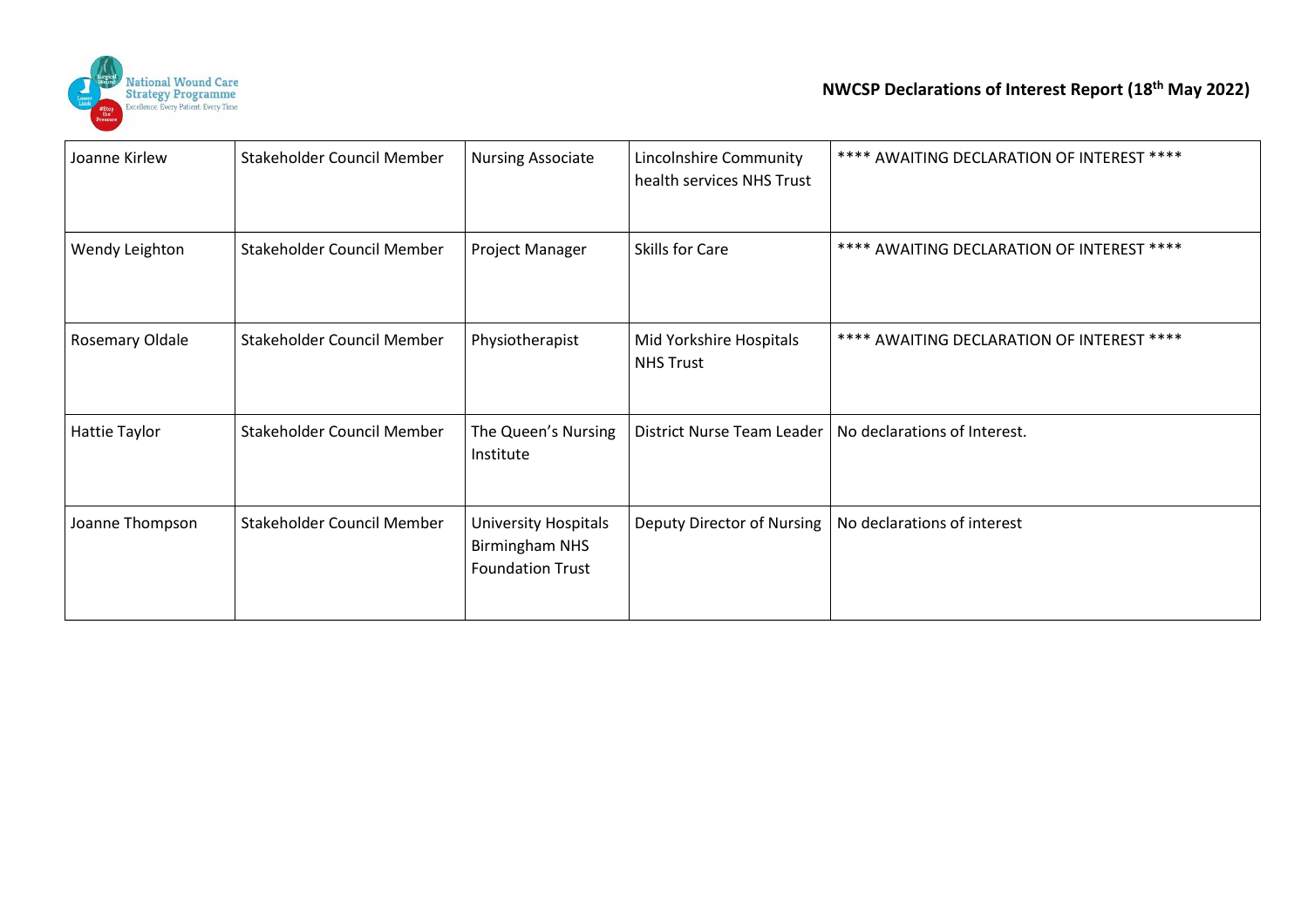

| Joanne Kirlew   | Stakeholder Council Member | <b>Nursing Associate</b>                                                        | Lincolnshire Community<br>health services NHS Trust | **** AWAITING DECLARATION OF INTEREST ****                |
|-----------------|----------------------------|---------------------------------------------------------------------------------|-----------------------------------------------------|-----------------------------------------------------------|
| Wendy Leighton  | Stakeholder Council Member | Project Manager                                                                 | Skills for Care                                     | **** AWAITING DECLARATION OF INTEREST ****                |
| Rosemary Oldale | Stakeholder Council Member | Physiotherapist                                                                 | Mid Yorkshire Hospitals<br><b>NHS Trust</b>         | **** AWAITING DECLARATION OF INTEREST ****                |
| Hattie Taylor   | Stakeholder Council Member | The Queen's Nursing<br>Institute                                                |                                                     | District Nurse Team Leader   No declarations of Interest. |
| Joanne Thompson | Stakeholder Council Member | <b>University Hospitals</b><br><b>Birmingham NHS</b><br><b>Foundation Trust</b> | Deputy Director of Nursing                          | No declarations of interest                               |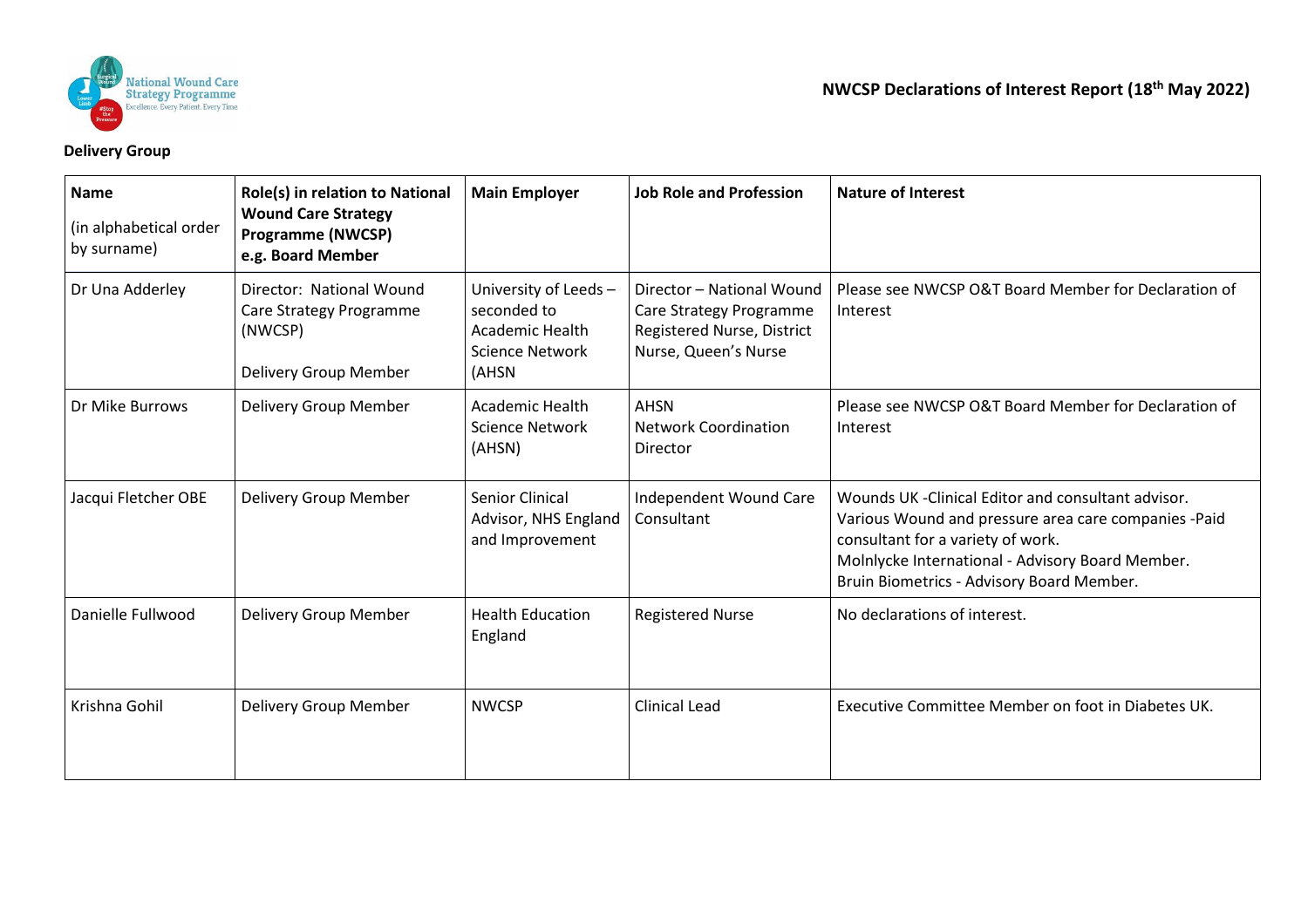

## **Delivery Group**

| <b>Name</b><br>(in alphabetical order<br>by surname) | Role(s) in relation to National<br><b>Wound Care Strategy</b><br><b>Programme (NWCSP)</b><br>e.g. Board Member | <b>Main Employer</b>                                                                      | <b>Job Role and Profession</b>                                                                             | <b>Nature of Interest</b>                                                                                                                                                                                                                         |
|------------------------------------------------------|----------------------------------------------------------------------------------------------------------------|-------------------------------------------------------------------------------------------|------------------------------------------------------------------------------------------------------------|---------------------------------------------------------------------------------------------------------------------------------------------------------------------------------------------------------------------------------------------------|
| Dr Una Adderley                                      | Director: National Wound<br>Care Strategy Programme<br>(NWCSP)<br>Delivery Group Member                        | University of Leeds-<br>seconded to<br><b>Academic Health</b><br>Science Network<br>(AHSN | Director - National Wound<br>Care Strategy Programme<br>Registered Nurse, District<br>Nurse, Queen's Nurse | Please see NWCSP O&T Board Member for Declaration of<br>Interest                                                                                                                                                                                  |
| Dr Mike Burrows                                      | Delivery Group Member                                                                                          | <b>Academic Health</b><br>Science Network<br>(AHSN)                                       | <b>AHSN</b><br><b>Network Coordination</b><br>Director                                                     | Please see NWCSP O&T Board Member for Declaration of<br>Interest                                                                                                                                                                                  |
| Jacqui Fletcher OBE                                  | Delivery Group Member                                                                                          | <b>Senior Clinical</b><br>Advisor, NHS England<br>and Improvement                         | Independent Wound Care<br>Consultant                                                                       | Wounds UK - Clinical Editor and consultant advisor.<br>Various Wound and pressure area care companies -Paid<br>consultant for a variety of work.<br>Molnlycke International - Advisory Board Member.<br>Bruin Biometrics - Advisory Board Member. |
| Danielle Fullwood                                    | Delivery Group Member                                                                                          | <b>Health Education</b><br>England                                                        | <b>Registered Nurse</b>                                                                                    | No declarations of interest.                                                                                                                                                                                                                      |
| Krishna Gohil                                        | Delivery Group Member                                                                                          | <b>NWCSP</b>                                                                              | <b>Clinical Lead</b>                                                                                       | Executive Committee Member on foot in Diabetes UK.                                                                                                                                                                                                |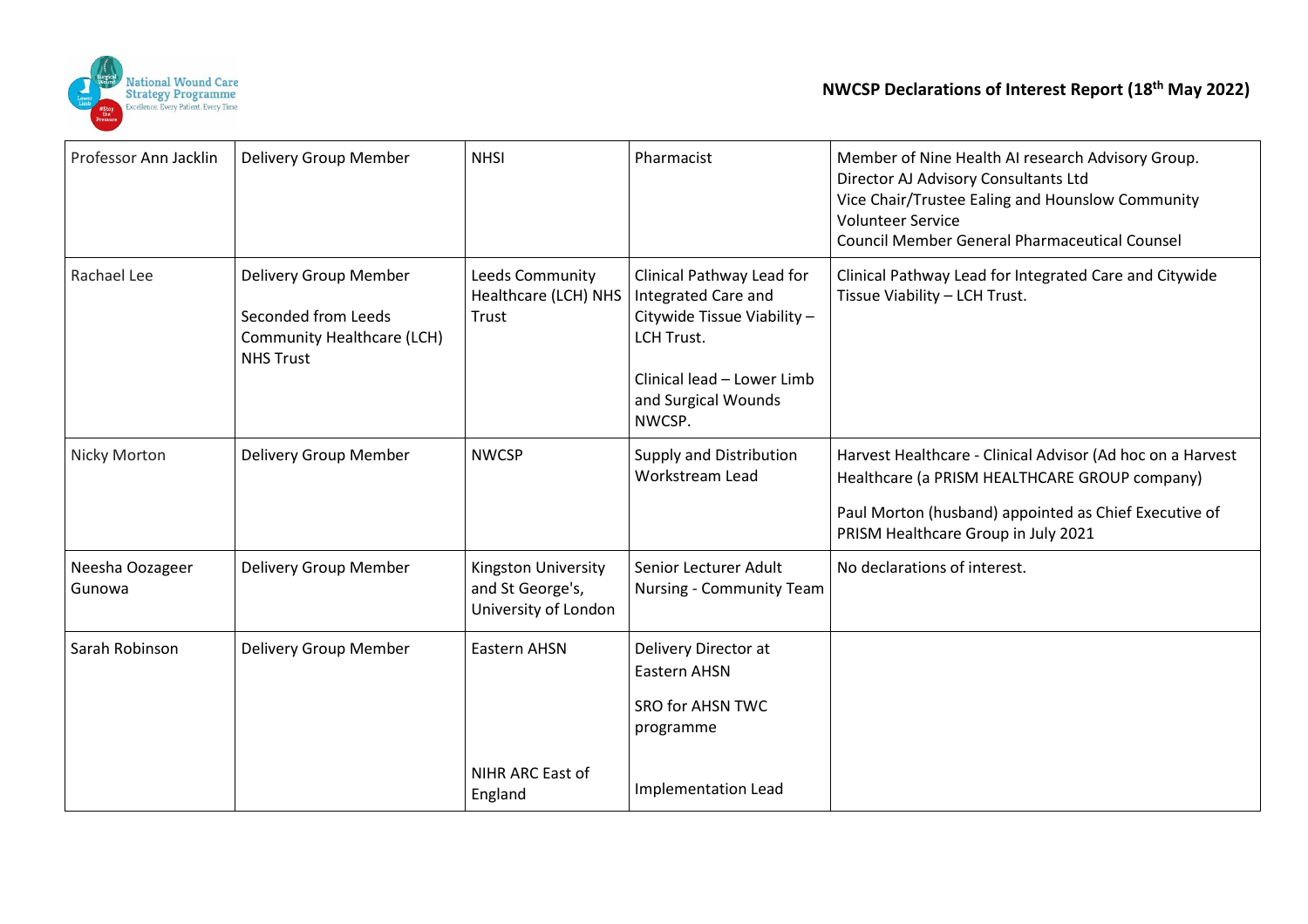

| Professor Ann Jacklin     | Delivery Group Member                                                                          | <b>NHSI</b>                                                     | Pharmacist                                                                                                                                                          | Member of Nine Health AI research Advisory Group.<br>Director AJ Advisory Consultants Ltd<br>Vice Chair/Trustee Ealing and Hounslow Community<br><b>Volunteer Service</b><br><b>Council Member General Pharmaceutical Counsel</b> |
|---------------------------|------------------------------------------------------------------------------------------------|-----------------------------------------------------------------|---------------------------------------------------------------------------------------------------------------------------------------------------------------------|-----------------------------------------------------------------------------------------------------------------------------------------------------------------------------------------------------------------------------------|
| Rachael Lee               | Delivery Group Member<br>Seconded from Leeds<br>Community Healthcare (LCH)<br><b>NHS Trust</b> | Leeds Community<br>Healthcare (LCH) NHS<br>Trust                | Clinical Pathway Lead for<br><b>Integrated Care and</b><br>Citywide Tissue Viability -<br>LCH Trust.<br>Clinical lead - Lower Limb<br>and Surgical Wounds<br>NWCSP. | Clinical Pathway Lead for Integrated Care and Citywide<br>Tissue Viability - LCH Trust.                                                                                                                                           |
| Nicky Morton              | Delivery Group Member                                                                          | <b>NWCSP</b>                                                    | Supply and Distribution<br><b>Workstream Lead</b>                                                                                                                   | Harvest Healthcare - Clinical Advisor (Ad hoc on a Harvest<br>Healthcare (a PRISM HEALTHCARE GROUP company)<br>Paul Morton (husband) appointed as Chief Executive of<br>PRISM Healthcare Group in July 2021                       |
| Neesha Oozageer<br>Gunowa | Delivery Group Member                                                                          | Kingston University<br>and St George's,<br>University of London | Senior Lecturer Adult<br>Nursing - Community Team                                                                                                                   | No declarations of interest.                                                                                                                                                                                                      |
| Sarah Robinson            | Delivery Group Member                                                                          | <b>Eastern AHSN</b><br>NIHR ARC East of<br>England              | Delivery Director at<br><b>Eastern AHSN</b><br><b>SRO for AHSN TWC</b><br>programme<br><b>Implementation Lead</b>                                                   |                                                                                                                                                                                                                                   |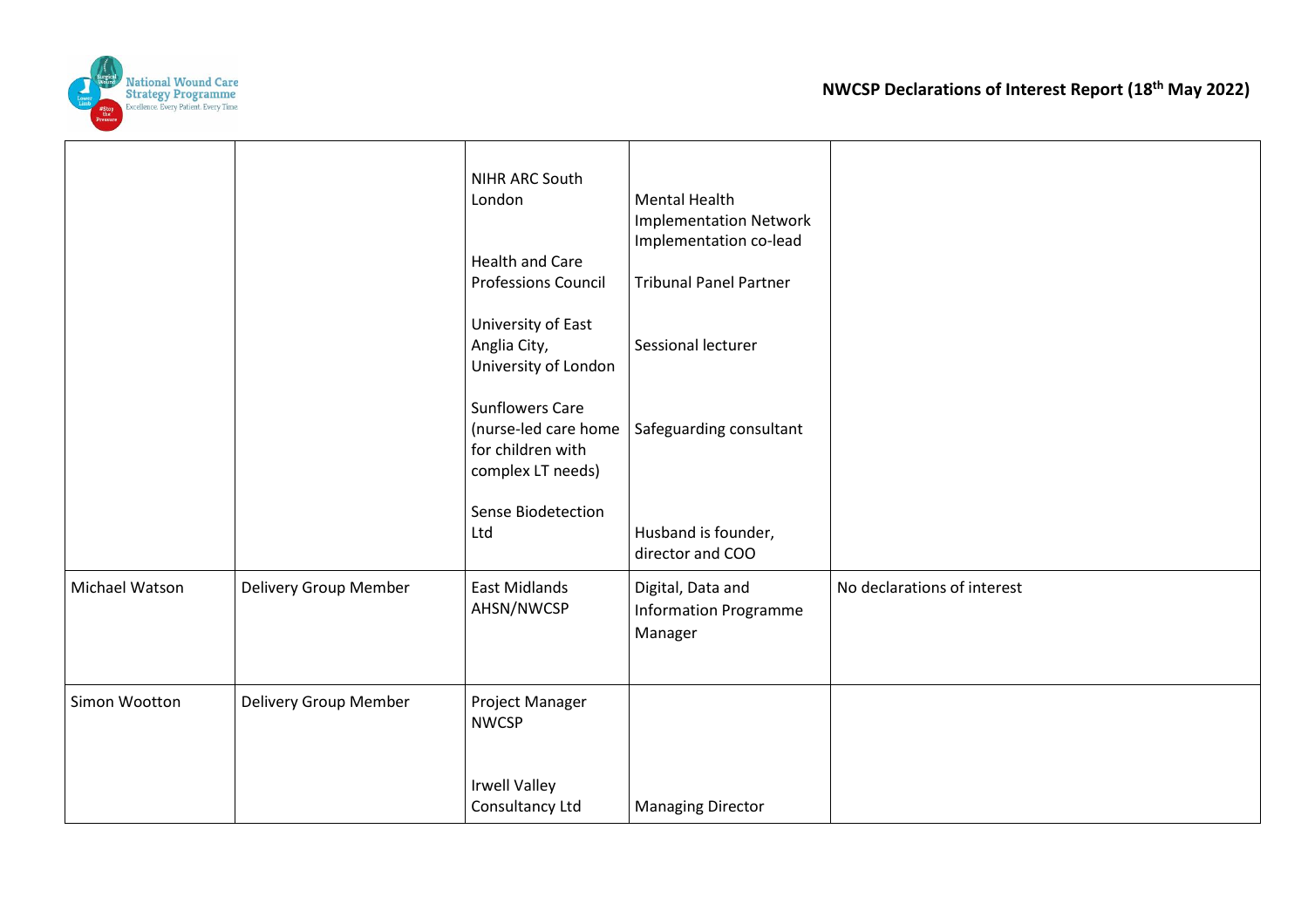

|                |                       | NIHR ARC South<br>London<br><b>Health and Care</b><br><b>Professions Council</b><br>University of East<br>Anglia City,<br>University of London<br><b>Sunflowers Care</b><br>(nurse-led care home<br>for children with<br>complex LT needs) | <b>Mental Health</b><br><b>Implementation Network</b><br>Implementation co-lead<br><b>Tribunal Panel Partner</b><br>Sessional lecturer<br>Safeguarding consultant |                             |
|----------------|-----------------------|--------------------------------------------------------------------------------------------------------------------------------------------------------------------------------------------------------------------------------------------|-------------------------------------------------------------------------------------------------------------------------------------------------------------------|-----------------------------|
|                |                       | Sense Biodetection<br>Ltd                                                                                                                                                                                                                  | Husband is founder,<br>director and COO                                                                                                                           |                             |
| Michael Watson | Delivery Group Member | <b>East Midlands</b><br>AHSN/NWCSP                                                                                                                                                                                                         | Digital, Data and<br><b>Information Programme</b><br>Manager                                                                                                      | No declarations of interest |
| Simon Wootton  | Delivery Group Member | Project Manager<br><b>NWCSP</b>                                                                                                                                                                                                            |                                                                                                                                                                   |                             |
|                |                       | <b>Irwell Valley</b><br>Consultancy Ltd                                                                                                                                                                                                    | <b>Managing Director</b>                                                                                                                                          |                             |